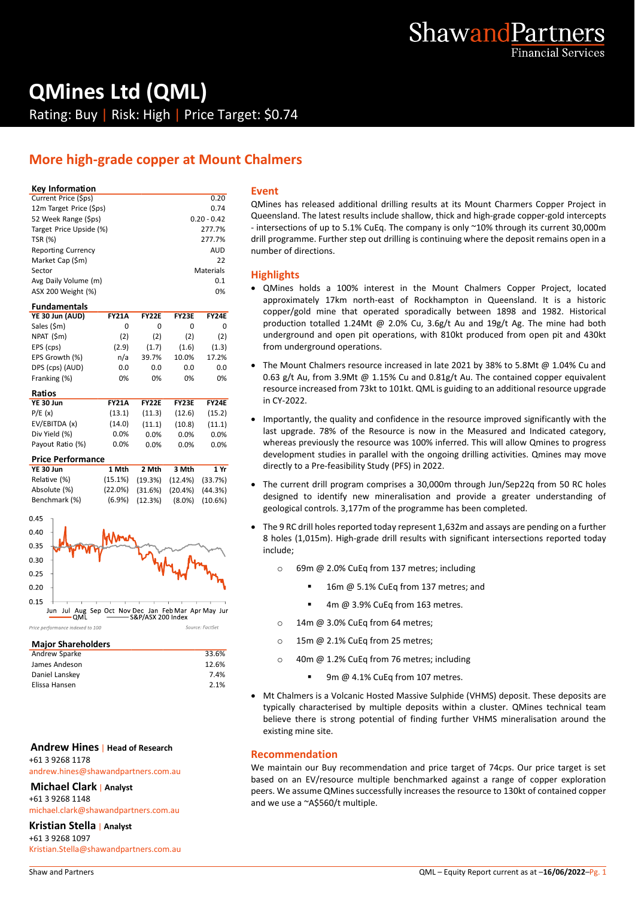

# **QMines Ltd (QML)**

Rating: Buy | Risk: High | Price Target: \$0.74

### **More high-grade copper at Mount Chalmers**

#### **Key Information**

| Current Price (\$ps)      | 0.20          | C |
|---------------------------|---------------|---|
| 12m Target Price (\$ps)   | 0.74          |   |
| 52 Week Range (\$ps)      | $0.20 - 0.42$ | r |
| Target Price Upside (%)   | 277.7%        |   |
| <b>TSR (%)</b>            | 277.7%        | d |
| <b>Reporting Currency</b> | <b>AUD</b>    | n |
| Market Cap (\$m)          | 22            |   |
| Sector                    | Materials     | ŀ |
| Avg Daily Volume (m)      | 0.1           |   |
| ASX 200 Weight (%)        | 0%            |   |

#### **Fundamentals**

| YE 30 Jun (AUD) | <b>FY21A</b> | <b>FY22F</b> | <b>FY23F</b> | <b>FY24E</b> |
|-----------------|--------------|--------------|--------------|--------------|
| Sales (\$m)     | 0            | O            |              | O            |
| NPAT (\$m)      | (2)          | (2)          | (2)          | (2)          |
| EPS (cps)       | (2.9)        | (1.7)        | (1.6)        | (1.3)        |
| EPS Growth (%)  | n/a          | 39.7%        | 10.0%        | 17.2%        |
| DPS (cps) (AUD) | 0.0          | 0.0          | 0.0          | 0.0          |
| Franking (%)    | 0%           | 0%           | 0%           | 0%           |
|                 |              |              |              |              |

| Ratios           |              |              |              |              |  |
|------------------|--------------|--------------|--------------|--------------|--|
| YE 30 Jun        | <b>FY21A</b> | <b>FY22E</b> | <b>FY23F</b> | <b>FY24F</b> |  |
| P/E(x)           | (13.1)       | (11.3)       | (12.6)       | (15.2)       |  |
| EV/EBITDA (x)    | (14.0)       | (11.1)       | (10.8)       | (11.1)       |  |
| Div Yield (%)    | $0.0\%$      | $0.0\%$      | $0.0\%$      | 0.0%         |  |
| Payout Ratio (%) | 0.0%         | $0.0\%$      | $0.0\%$      | 0.0%         |  |
|                  |              |              |              |              |  |

#### **Price Performance**

| YE 30 Jun     | 1 Mth | 2 Mth | 3 Mth                                       | 1 Yr |
|---------------|-------|-------|---------------------------------------------|------|
| Relative (%)  |       |       | $(15.1\%)$ $(19.3\%)$ $(12.4\%)$ $(33.7\%)$ |      |
| Absolute (%)  |       |       | $(22.0\%)$ $(31.6\%)$ $(20.4\%)$ $(44.3\%)$ |      |
| Benchmark (%) |       |       | $(6.9\%)$ $(12.3\%)$ $(8.0\%)$ $(10.6\%)$   |      |



#### Price nerformance indexed to 100

| <b>Major Shareholders</b> |       |
|---------------------------|-------|
| Andrew Sparke             | 33.6% |
| James Andeson             | 12.6% |
| Daniel Lanskey            | 7.4%  |
| Elissa Hansen             | 2.1%  |
|                           |       |

Source: FactSet

#### **Andrew Hines** | **Head of Research** +61 3 9268 1178

andrew.hines@shawandpartners.com.au

#### **Michael Clark** | **Analyst**

+61 3 9268 1148

michael.clark@shawandpartners.com.au

#### **Kristian Stella** | **Analyst**

+61 3 9268 1097 Kristian.Stella@shawandpartners.com.au

#### **Event**

QMines has released additional drilling results at its Mount Charmers Copper Project in Queensland. The latest results include shallow, thick and high-grade copper-gold intercepts - intersections of up to 5.1% CuEq. The company is only ~10% through its current 30,000m drill programme. Further step out drilling is continuing where the deposit remains open in a number of directions.

#### **Highlights**

- QMines holds a 100% interest in the Mount Chalmers Copper Project, located approximately 17km north-east of Rockhampton in Queensland. It is a historic copper/gold mine that operated sporadically between 1898 and 1982. Historical production totalled 1.24Mt @ 2.0% Cu, 3.6g/t Au and 19g/t Ag. The mine had both underground and open pit operations, with 810kt produced from open pit and 430kt from underground operations.
- The Mount Chalmers resource increased in late 2021 by 38% to 5.8Mt @ 1.04% Cu and 0.63 g/t Au, from 3.9Mt  $@1.15\%$  Cu and 0.81g/t Au. The contained copper equivalent resource increased from 73kt to 101kt. QML is guiding to an additional resource upgrade in CY-2022.
- Importantly, the quality and confidence in the resource improved significantly with the last upgrade. 78% of the Resource is now in the Measured and Indicated category, whereas previously the resource was 100% inferred. This will allow Qmines to progress development studies in parallel with the ongoing drilling activities. Qmines may move directly to a Pre-feasibility Study (PFS) in 2022.
- The current drill program comprises a 30,000m through Jun/Sep22q from 50 RC holes designed to identify new mineralisation and provide a greater understanding of geological controls. 3,177m of the programme has been completed.
- The 9 RC drill holes reported today represent 1,632m and assays are pending on a further 8 holes (1,015m). High-grade drill results with significant intersections reported today include;
	- o 69m @ 2.0% CuEq from 137 metres; including
		- 16m @ 5.1% CuEq from 137 metres; and
		- 4m @ 3.9% CuEq from 163 metres.
	- o 14m @ 3.0% CuEq from 64 metres;
	- o 15m @ 2.1% CuEq from 25 metres:
	- o 40m @ 1.2% CuEq from 76 metres; including
		- 9m @ 4.1% CuEq from 107 metres.
- Mt Chalmers is a Volcanic Hosted Massive Sulphide (VHMS) deposit. These deposits are typically characterised by multiple deposits within a cluster. QMines technical team believe there is strong potential of finding further VHMS mineralisation around the existing mine site.

#### **Recommendation**

We maintain our Buy recommendation and price target of 74cps. Our price target is set based on an EV/resource multiple benchmarked against a range of copper exploration peers. We assume QMines successfully increases the resource to 130kt of contained copper and we use a ~A\$560/t multiple.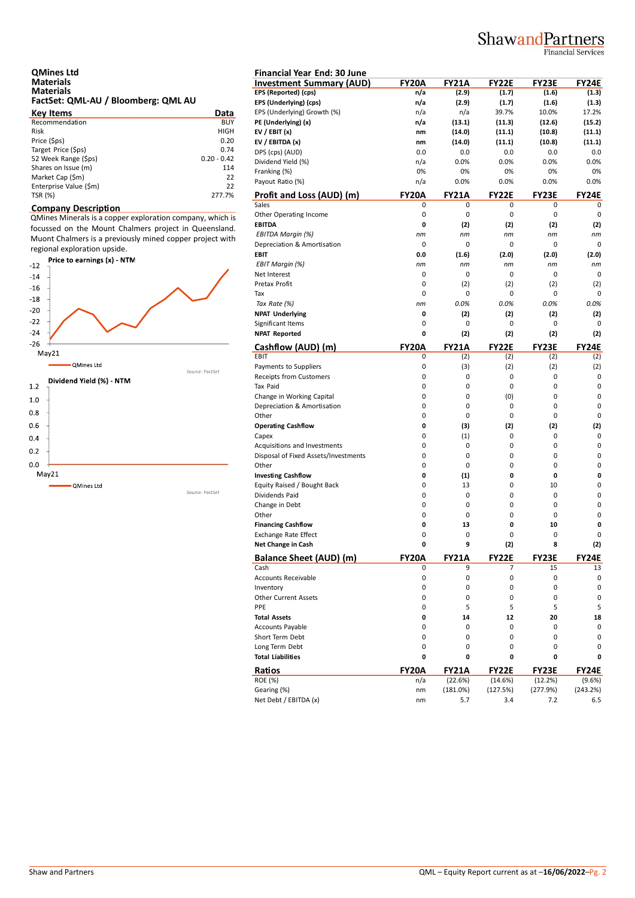## ShawandPartners

Financial Services

| <b>QMines Ltd</b>                   |  |
|-------------------------------------|--|
| <b>Materials</b>                    |  |
| <b>Materials</b>                    |  |
| FactSet: QML-AU / Bloomberg: QML AU |  |

| <b>Key Items</b>       | Data          | EP. |
|------------------------|---------------|-----|
| Recommendation         | <b>BUY</b>    | PE  |
| <b>Risk</b>            | <b>HIGH</b>   | EV  |
| Price (\$ps)           | 0.20          | EV  |
| Target Price (\$ps)    | 0.74          | DP  |
| 52 Week Range (\$ps)   | $0.20 - 0.42$ | Di  |
| Shares on Issue (m)    | 114           | Fra |
| Market Cap (\$m)       | 22            | Pa  |
| Enterprise Value (\$m) | 22            |     |
| TSR (%)                | 277.7%        | Pr  |

#### **Company Description**

QMines Minerals is a copper exploration company, which is focussed on the Mount Chalmers project in Queensland. Muont Chalmers is a previously mined copper project with regional exploration upside.



| <b>Financial Year End: 30 June</b>     |                   |                   |                   |                 |                        |
|----------------------------------------|-------------------|-------------------|-------------------|-----------------|------------------------|
| <b>Investment Summary (AUD)</b>        | FY20A             | <b>FY21A</b>      | <b>FY22E</b>      | FY23E           | <b>FY24E</b>           |
| EPS (Reported) (cps)                   | n/a               | (2.9)             | (1.7)             | (1.6)           | (1.3)                  |
| EPS (Underlying) (cps)                 | n/a               | (2.9)             | (1.7)             | (1.6)           | (1.3)                  |
| EPS (Underlying) Growth (%)            | n/a               | n/a               | 39.7%             | 10.0%           | 17.2%                  |
| PE (Underlying) (x)                    | n/a               | (13.1)            | (11.3)            | (12.6)          | (15.2)                 |
| EV / EBIT $(x)$                        | nm                | (14.0)            | (11.1)            | (10.8)          | (11.1)                 |
| EV / EBITDA (x)                        | nm                | (14.0)            | (11.1)            | (10.8)          | (11.1)                 |
| DPS (cps) (AUD)                        | 0.0               | 0.0               | 0.0               | 0.0             | 0.0                    |
| Dividend Yield (%)                     | n/a               | 0.0%              | 0.0%              | 0.0%            | 0.0%                   |
|                                        | 0%                | 0%                | 0%                | 0%              | 0%                     |
| Franking (%)<br>Payout Ratio (%)       |                   | 0.0%              |                   |                 | 0.0%                   |
|                                        | n/a               |                   | 0.0%              | 0.0%            |                        |
| Profit and Loss (AUD) (m)              | <b>FY20A</b>      | <b>FY21A</b>      | <b>FY22E</b>      | <b>FY23E</b>    | FY24E                  |
| Sales                                  | 0                 | 0                 | 0                 | 0               | 0                      |
| Other Operating Income                 | 0                 | 0                 | 0                 | 0               | 0                      |
| <b>EBITDA</b>                          | 0                 | (2)               | (2)               | (2)             | (2)                    |
| EBITDA Margin (%)                      | nm                | nm                | nm                | nm              | nm                     |
| Depreciation & Amortisation            | 0                 | 0                 | 0                 | 0               | 0                      |
| <b>EBIT</b>                            | 0.0               | (1.6)             | (2.0)             | (2.0)           | (2.0)                  |
| <b>EBIT Margin (%)</b>                 | nm                | nm                | nm                | nm              | nm                     |
| Net Interest                           | 0                 | 0                 | 0                 | 0               | 0                      |
| Pretax Profit                          | 0                 | (2)               | (2)               | (2)             | (2)                    |
| Tax                                    | 0                 | 0                 | 0                 | 0               | 0                      |
|                                        |                   |                   |                   |                 |                        |
| Tax Rate (%)                           | nm                | 0.0%              | 0.0%              | 0.0%            | 0.0%                   |
| <b>NPAT Underlying</b>                 | 0                 | (2)               | (2)               | (2)             | (2)                    |
| Significant Items                      | 0                 | 0                 | 0                 | 0               | 0                      |
| <b>NPAT Reported</b>                   | 0                 | (2)               | (2)               | (2)             | (2)                    |
| Cashflow (AUD) (m)                     | <b>FY20A</b>      | <b>FY21A</b>      | <b>FY22E</b>      | <b>FY23E</b>    | <b>FY24E</b>           |
| EBIT                                   | 0                 | (2)               | (2)               | (2)             | (2)                    |
| Payments to Suppliers                  | 0                 | (3)               | (2)               | (2)             | (2)                    |
| Receipts from Customers                | 0                 | 0                 | 0                 | 0               | 0                      |
| Tax Paid                               | 0                 | 0                 | 0                 | 0               | 0                      |
| Change in Working Capital              | 0                 | 0                 | (0)               | 0               | 0                      |
| Depreciation & Amortisation            | 0                 | 0                 | 0                 | 0               | 0                      |
| Other                                  | 0                 | 0                 | 0                 | 0               | 0                      |
|                                        |                   |                   |                   |                 |                        |
| <b>Operating Cashflow</b>              | 0                 | (3)               | (2)               | (2)             | (2)                    |
| Capex                                  | 0                 | (1)               | 0                 | 0               | 0                      |
| Acquisitions and Investments           | 0                 | 0                 | 0                 | 0               | 0                      |
| Disposal of Fixed Assets/Investments   | 0                 | 0                 | 0                 | 0               | 0                      |
| Other                                  | 0                 | 0                 | 0                 | 0               | 0                      |
| <b>Investing Cashflow</b>              | 0                 | (1)               | 0                 | 0               | 0                      |
| Equity Raised / Bought Back            | 0                 | 13                | 0                 | 10              | 0                      |
| Dividends Paid                         | 0                 | 0                 | 0                 | 0               | 0                      |
| Change in Debt                         | 0                 | 0                 | 0                 | 0               | 0                      |
| Other                                  | 0                 | 0                 | 0                 | 0               | 0                      |
| <b>Financing Cashflow</b>              | 0                 | 13                | 0                 | 10              | 0                      |
| <b>Exchange Rate Effect</b>            | 0                 | 0                 | 0                 | 0               | 0                      |
| <b>Net Change in Cash</b>              | 0                 | q                 | (2)               | 8               | (2)                    |
|                                        |                   |                   |                   |                 |                        |
| <b>Balance Sheet (AUD) (m)</b><br>Cash | <b>FY20A</b><br>0 | <b>FY21A</b><br>9 | <b>FY22E</b><br>7 | FY23E           | <b>FY24E</b><br>13     |
|                                        |                   |                   |                   | 15              |                        |
| Accounts Receivable                    | 0                 | 0                 | 0                 | 0               | 0                      |
| Inventory                              | 0                 | 0                 | 0                 | 0               | 0                      |
| <b>Other Current Assets</b>            | 0                 | 0                 | 0                 | 0               | 0                      |
| PPE                                    | 0                 | 5                 | 5                 | 5               | 5                      |
| <b>Total Assets</b>                    | 0                 | 14                | 12                | 20              | 18                     |
| <b>Accounts Payable</b>                | 0                 | 0                 | 0                 | 0               | 0                      |
| Short Term Debt                        | 0                 | 0                 | 0                 | 0               | 0                      |
|                                        | 0                 | 0                 | 0                 | 0               | 0                      |
| Long Term Debt                         |                   |                   |                   |                 |                        |
| <b>Total Liabilities</b>               | 0                 | 0                 | 0                 | 0               | 0                      |
|                                        |                   |                   |                   |                 |                        |
| Ratios                                 | <b>FY20A</b>      | <b>FY21A</b>      | <b>FY22E</b>      | FY23E           |                        |
| <b>ROE (%)</b>                         | n/a               | (22.6%)           | (14.6%)           | (12.2%)         | <b>FY24E</b><br>(9.6%) |
| Gearing (%)<br>Net Debt / EBITDA (x)   | nm<br>nm          | (181.0%)<br>5.7   | (127.5%)<br>3.4   | (277.9%)<br>7.2 | (243.2%)<br>6.5        |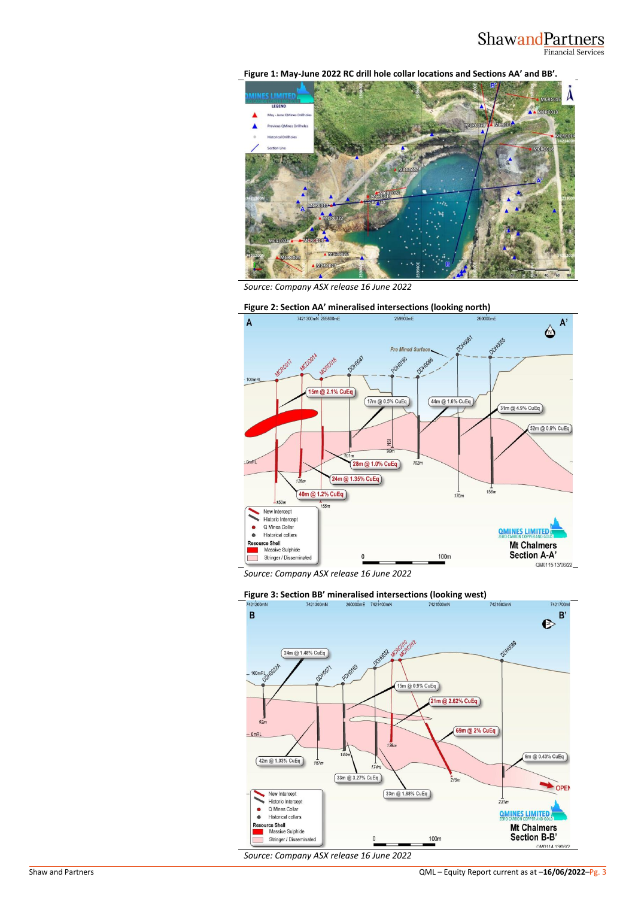#### ShawandPartners Financial Services

**Figure 1: May-June 2022 RC drill hole collar locations and Sections AA' and BB'.**



*Source: Company ASX release 16 June 2022*



**Figure 2: Section AA' mineralised intersections (looking north)**<br>A 2421300mH 259900mE

*Source: Company ASX release 16 June 2022*



*Source: Company ASX release 16 June 2022*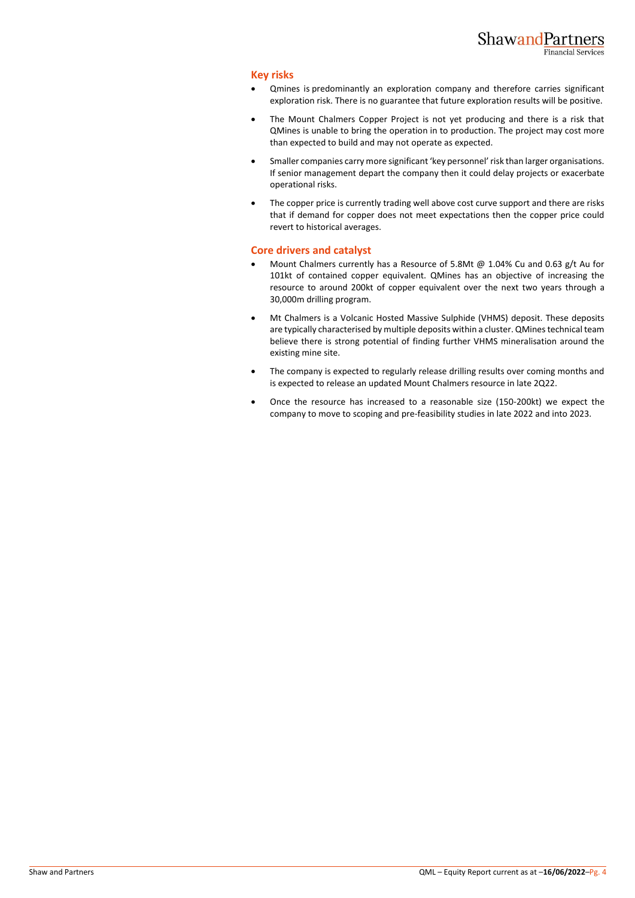#### **Key risks**

- Qmines is predominantly an exploration company and therefore carries significant exploration risk. There is no guarantee that future exploration results will be positive.
- The Mount Chalmers Copper Project is not yet producing and there is a risk that QMines is unable to bring the operation in to production. The project may cost more than expected to build and may not operate as expected.
- Smaller companies carry more significant 'key personnel' risk than larger organisations. If senior management depart the company then it could delay projects or exacerbate operational risks.
- The copper price is currently trading well above cost curve support and there are risks that if demand for copper does not meet expectations then the copper price could revert to historical averages.

#### **Core drivers and catalyst**

- Mount Chalmers currently has a Resource of 5.8Mt @ 1.04% Cu and 0.63 g/t Au for 101kt of contained copper equivalent. QMines has an objective of increasing the resource to around 200kt of copper equivalent over the next two years through a 30,000m drilling program.
- Mt Chalmers is a Volcanic Hosted Massive Sulphide (VHMS) deposit. These deposits are typically characterised by multiple deposits within a cluster. QMines technical team believe there is strong potential of finding further VHMS mineralisation around the existing mine site.
- The company is expected to regularly release drilling results over coming months and is expected to release an updated Mount Chalmers resource in late 2Q22.
- Once the resource has increased to a reasonable size (150-200kt) we expect the company to move to scoping and pre-feasibility studies in late 2022 and into 2023.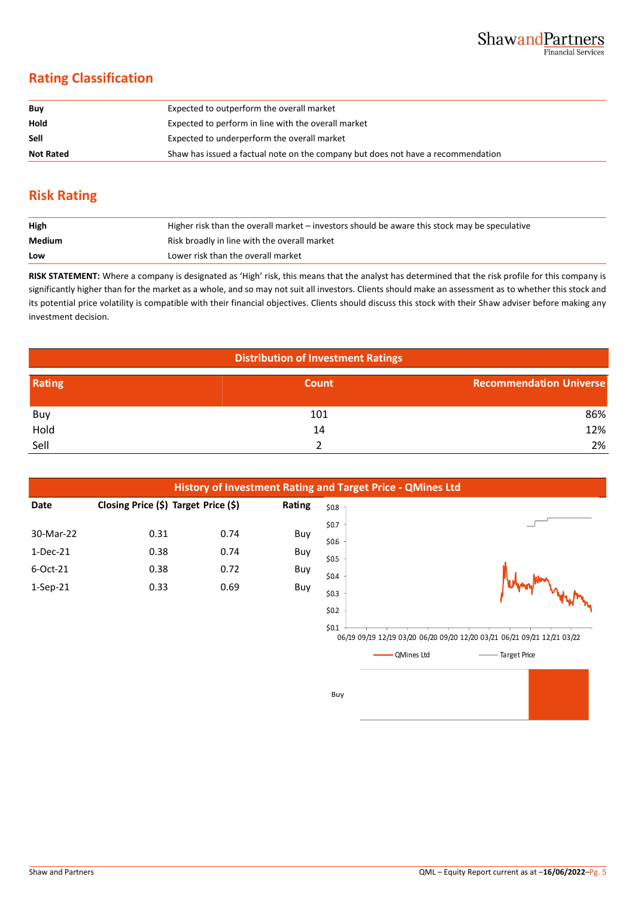### **Rating Classification**

| Buy              | Expected to outperform the overall market                                        |
|------------------|----------------------------------------------------------------------------------|
| Hold             | Expected to perform in line with the overall market                              |
| Sell             | Expected to underperform the overall market                                      |
| <b>Not Rated</b> | Shaw has issued a factual note on the company but does not have a recommendation |

#### **Risk Rating**

| High   | Higher risk than the overall market – investors should be aware this stock may be speculative |
|--------|-----------------------------------------------------------------------------------------------|
| Medium | Risk broadly in line with the overall market                                                  |
| Low    | Lower risk than the overall market                                                            |

**RISK STATEMENT:** Where a company is designated as 'High' risk, this means that the analyst has determined that the risk profile for this company is significantly higher than for the market as a whole, and so may not suit all investors. Clients should make an assessment as to whether this stock and its potential price volatility is compatible with their financial objectives. Clients should discuss this stock with their Shaw adviser before making any investment decision.

| <b>Distribution of Investment Ratings</b> |              |                                |  |  |
|-------------------------------------------|--------------|--------------------------------|--|--|
| Rating                                    | <b>Count</b> | <b>Recommendation Universe</b> |  |  |
| Buy                                       | 101          | 86%                            |  |  |
| Hold                                      | 14           | 12%                            |  |  |
| Sell                                      |              | 2%                             |  |  |



- QMines Ltd Target Price

Buy